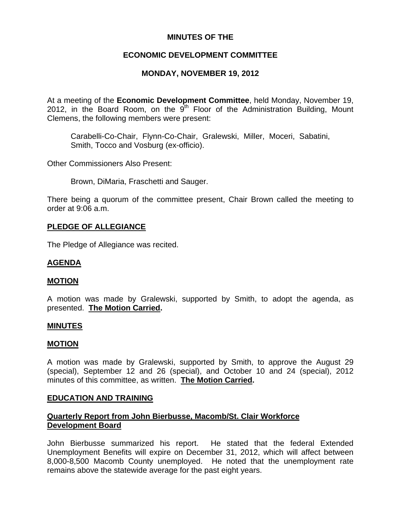# **MINUTES OF THE**

# **ECONOMIC DEVELOPMENT COMMITTEE**

# **MONDAY, NOVEMBER 19, 2012**

At a meeting of the **Economic Development Committee**, held Monday, November 19, 2012, in the Board Room, on the  $9<sup>th</sup>$  Floor of the Administration Building, Mount Clemens, the following members were present:

Carabelli-Co-Chair, Flynn-Co-Chair, Gralewski, Miller, Moceri, Sabatini, Smith, Tocco and Vosburg (ex-officio).

Other Commissioners Also Present:

Brown, DiMaria, Fraschetti and Sauger.

There being a quorum of the committee present, Chair Brown called the meeting to order at 9:06 a.m.

## **PLEDGE OF ALLEGIANCE**

The Pledge of Allegiance was recited.

## **AGENDA**

#### **MOTION**

A motion was made by Gralewski, supported by Smith, to adopt the agenda, as presented. **The Motion Carried.** 

#### **MINUTES**

#### **MOTION**

A motion was made by Gralewski, supported by Smith, to approve the August 29 (special), September 12 and 26 (special), and October 10 and 24 (special), 2012 minutes of this committee, as written. **The Motion Carried.** 

#### **EDUCATION AND TRAINING**

# **Quarterly Report from John Bierbusse, Macomb/St. Clair Workforce Development Board**

John Bierbusse summarized his report. He stated that the federal Extended Unemployment Benefits will expire on December 31, 2012, which will affect between 8,000-8,500 Macomb County unemployed. He noted that the unemployment rate remains above the statewide average for the past eight years.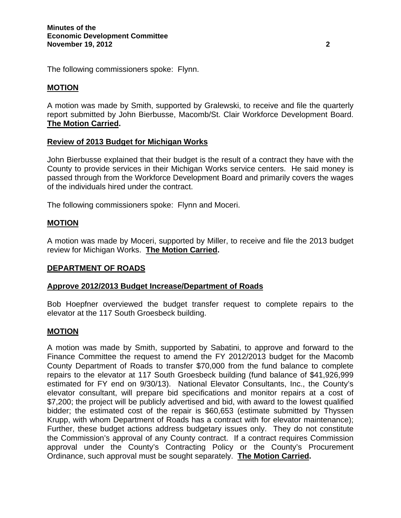The following commissioners spoke: Flynn.

# **MOTION**

A motion was made by Smith, supported by Gralewski, to receive and file the quarterly report submitted by John Bierbusse, Macomb/St. Clair Workforce Development Board. **The Motion Carried.** 

# **Review of 2013 Budget for Michigan Works**

John Bierbusse explained that their budget is the result of a contract they have with the County to provide services in their Michigan Works service centers. He said money is passed through from the Workforce Development Board and primarily covers the wages of the individuals hired under the contract.

The following commissioners spoke: Flynn and Moceri.

# **MOTION**

A motion was made by Moceri, supported by Miller, to receive and file the 2013 budget review for Michigan Works. **The Motion Carried.** 

## **DEPARTMENT OF ROADS**

## **Approve 2012/2013 Budget Increase/Department of Roads**

Bob Hoepfner overviewed the budget transfer request to complete repairs to the elevator at the 117 South Groesbeck building.

## **MOTION**

A motion was made by Smith, supported by Sabatini, to approve and forward to the Finance Committee the request to amend the FY 2012/2013 budget for the Macomb County Department of Roads to transfer \$70,000 from the fund balance to complete repairs to the elevator at 117 South Groesbeck building (fund balance of \$41,926,999 estimated for FY end on 9/30/13). National Elevator Consultants, Inc., the County's elevator consultant, will prepare bid specifications and monitor repairs at a cost of \$7,200; the project will be publicly advertised and bid, with award to the lowest qualified bidder; the estimated cost of the repair is \$60,653 (estimate submitted by Thyssen Krupp, with whom Department of Roads has a contract with for elevator maintenance); Further, these budget actions address budgetary issues only. They do not constitute the Commission's approval of any County contract. If a contract requires Commission approval under the County's Contracting Policy or the County's Procurement Ordinance, such approval must be sought separately. **The Motion Carried.**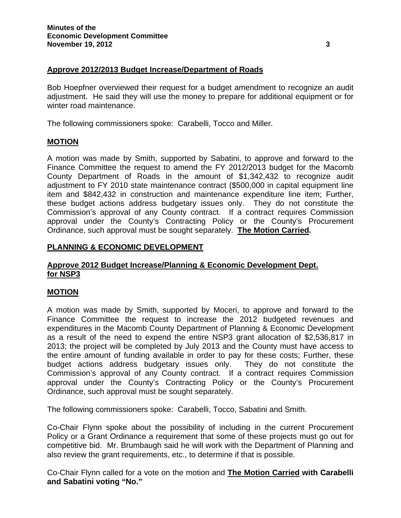# **Approve 2012/2013 Budget Increase/Department of Roads**

Bob Hoepfner overviewed their request for a budget amendment to recognize an audit adjustment. He said they will use the money to prepare for additional equipment or for winter road maintenance.

The following commissioners spoke: Carabelli, Tocco and Miller.

#### **MOTION**

A motion was made by Smith, supported by Sabatini, to approve and forward to the Finance Committee the request to amend the FY 2012/2013 budget for the Macomb County Department of Roads in the amount of \$1,342,432 to recognize audit adjustment to FY 2010 state maintenance contract (\$500,000 in capital equipment line item and \$842,432 in construction and maintenance expenditure line item; Further, these budget actions address budgetary issues only. They do not constitute the Commission's approval of any County contract. If a contract requires Commission approval under the County's Contracting Policy or the County's Procurement Ordinance, such approval must be sought separately. **The Motion Carried.** 

# **PLANNING & ECONOMIC DEVELOPMENT**

## **Approve 2012 Budget Increase/Planning & Economic Development Dept. for NSP3**

## **MOTION**

A motion was made by Smith, supported by Moceri, to approve and forward to the Finance Committee the request to increase the 2012 budgeted revenues and expenditures in the Macomb County Department of Planning & Economic Development as a result of the need to expend the entire NSP3 grant allocation of \$2,536,817 in 2013; the project will be completed by July 2013 and the County must have access to the entire amount of funding available in order to pay for these costs; Further, these budget actions address budgetary issues only. They do not constitute the Commission's approval of any County contract. If a contract requires Commission approval under the County's Contracting Policy or the County's Procurement Ordinance, such approval must be sought separately.

The following commissioners spoke: Carabelli, Tocco, Sabatini and Smith.

Co-Chair Flynn spoke about the possibility of including in the current Procurement Policy or a Grant Ordinance a requirement that some of these projects must go out for competitive bid. Mr. Brumbaugh said he will work with the Department of Planning and also review the grant requirements, etc., to determine if that is possible.

Co-Chair Flynn called for a vote on the motion and **The Motion Carried with Carabelli and Sabatini voting "No."**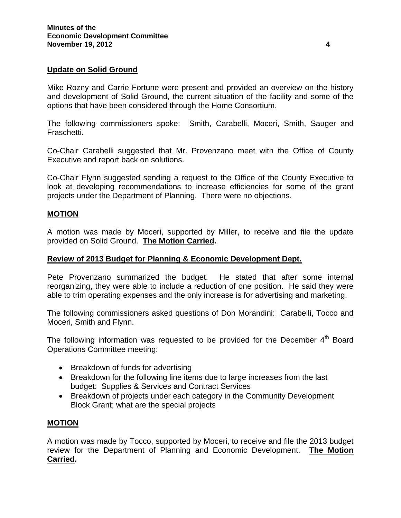# **Update on Solid Ground**

Mike Rozny and Carrie Fortune were present and provided an overview on the history and development of Solid Ground, the current situation of the facility and some of the options that have been considered through the Home Consortium.

The following commissioners spoke: Smith, Carabelli, Moceri, Smith, Sauger and Fraschetti.

Co-Chair Carabelli suggested that Mr. Provenzano meet with the Office of County Executive and report back on solutions.

Co-Chair Flynn suggested sending a request to the Office of the County Executive to look at developing recommendations to increase efficiencies for some of the grant projects under the Department of Planning. There were no objections.

## **MOTION**

A motion was made by Moceri, supported by Miller, to receive and file the update provided on Solid Ground. **The Motion Carried.**

#### **Review of 2013 Budget for Planning & Economic Development Dept.**

Pete Provenzano summarized the budget. He stated that after some internal reorganizing, they were able to include a reduction of one position. He said they were able to trim operating expenses and the only increase is for advertising and marketing.

The following commissioners asked questions of Don Morandini: Carabelli, Tocco and Moceri, Smith and Flynn.

The following information was requested to be provided for the December  $4<sup>th</sup>$  Board Operations Committee meeting:

- Breakdown of funds for advertising
- Breakdown for the following line items due to large increases from the last budget: Supplies & Services and Contract Services
- Breakdown of projects under each category in the Community Development Block Grant; what are the special projects

## **MOTION**

A motion was made by Tocco, supported by Moceri, to receive and file the 2013 budget review for the Department of Planning and Economic Development. **The Motion Carried.**